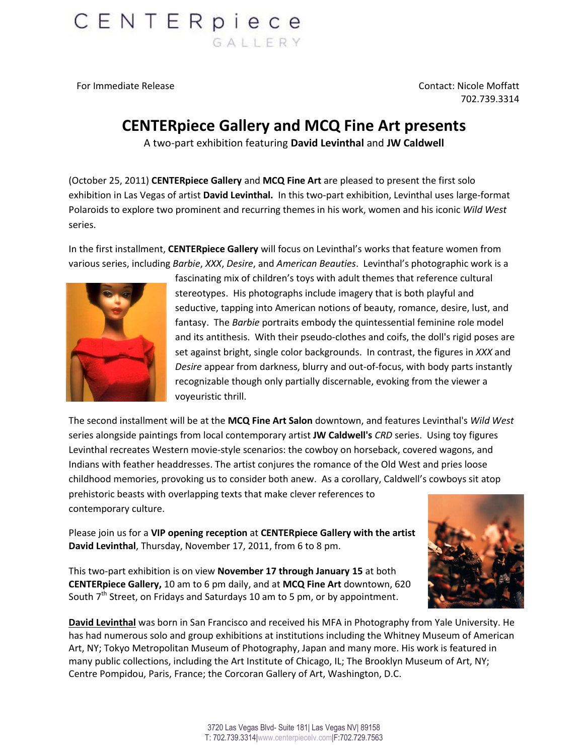

For Immediate Release Contact: Nicole Moffatt 702.739.3314

## **CENTERpiece Gallery and MCQ Fine Art presents**

A two-part exhibition featuring **David Levinthal** and **JW Caldwell**

(October 25, 2011) **CENTERpiece Gallery** and **MCQ Fine Art** are pleased to present the first solo exhibition in Las Vegas of artist **David Levinthal.** In this two-part exhibition, Levinthal uses large-format Polaroids to explore two prominent and recurring themes in his work, women and his iconic *Wild West* series.

In the first installment, **CENTERpiece Gallery** will focus on Levinthal's works that feature women from various series, including *Barbie*, *XXX*, *Desire*, and *American Beauties*. Levinthal's photographic work is a



fascinating mix of children's toys with adult themes that reference cultural stereotypes. His photographs include imagery that is both playful and seductive, tapping into American notions of beauty, romance, desire, lust, and fantasy. The *Barbie* portraits embody the quintessential feminine role model and its antithesis. With their pseudo-clothes and coifs, the doll's rigid poses are set against bright, single color backgrounds. In contrast, the figures in *XXX* and *Desire* appear from darkness, blurry and out-of-focus, with body parts instantly recognizable though only partially discernable, evoking from the viewer a voyeuristic thrill.

The second installment will be at the **MCQ Fine Art Salon** downtown, and features Levinthal's *Wild West* series alongside paintings from local contemporary artist **JW Caldwell's** *CRD* series. Using toy figures Levinthal recreates Western movie-style scenarios: the cowboy on horseback, covered wagons, and Indians with feather headdresses. The artist conjures the romance of the Old West and pries loose childhood memories, provoking us to consider both anew. As a corollary, Caldwell's cowboys sit atop prehistoric beasts with overlapping texts that make clever references to contemporary culture.

Please join us for a **VIP opening reception** at **CENTERpiece Gallery with the artist David Levinthal**, Thursday, November 17, 2011, from 6 to 8 pm.

This two-part exhibition is on view **November 17 through January 15** at both **CENTERpiece Gallery,** 10 am to 6 pm daily, and at **MCQ Fine Art** downtown, 620 South  $7<sup>th</sup>$  Street, on Fridays and Saturdays 10 am to 5 pm, or by appointment.



**David Levinthal** was born in San Francisco and received his MFA in Photography from Yale University. He has had numerous solo and group exhibitions at institutions including the Whitney Museum of American Art, NY; Tokyo Metropolitan Museum of Photography, Japan and many more. His work is featured in many public collections, including the Art Institute of Chicago, IL; The Brooklyn Museum of Art, NY; Centre Pompidou, Paris, France; the Corcoran Gallery of Art, Washington, D.C.